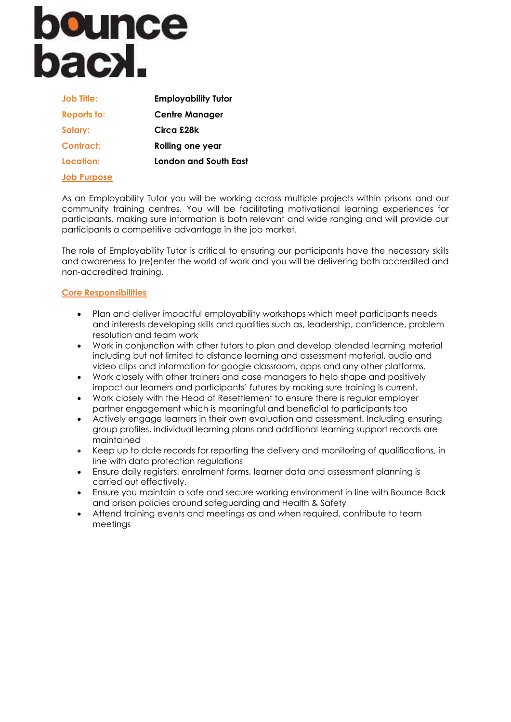# **bounce**<br>bacx.

| <b>Job Title:</b>  | <b>Employability Tutor</b> |
|--------------------|----------------------------|
| <b>Reports to:</b> | <b>Centre Manager</b>      |
| Salary:            | Circa £28k                 |
| Contract:          | Rolling one year           |
| Location:          | London and South East      |
| <b>Job Purpose</b> |                            |

As an Employability Tutor you will be working across multiple projects within prisons and our community training centres. You will be facilitating motivational learning experiences for participants, making sure information is both relevant and wide ranging and will provide our participants a competitive advantage in the job market.

The role of Employability Tutor is critical to ensuring our participants have the necessary skills and awareness to (re)enter the world of work and you will be delivering both accredited and non-accredited training.

### **Core Responsibilities**

- Plan and deliver impactful employability workshops which meet participants needs and interests developing skills and qualities such as, leadership, confidence, problem resolution and team work
- Work in conjunction with other tutors to plan and develop blended learning material including but not limited to distance learning and assessment material, audio and video clips and information for google classroom, apps and any other platforms.
- Work closely with other trainers and case managers to help shape and positively impact our learners and participants' futures by making sure training is current.
- Work closely with the Head of Resettlement to ensure there is regular employer partner engagement which is meaningful and beneficial to participants too
- Actively engage learners in their own evaluation and assessment. Including ensuring group profiles, individual learning plans and additional learning support records are maintained
- Keep up to date records for reporting the delivery and monitoring of qualifications, in line with data protection regulations
- Ensure daily registers, enrolment forms, learner data and assessment planning is carried out effectively.
- Ensure you maintain a safe and secure working environment in line with Bounce Back and prison policies around safeguarding and Health & Safety
- Attend training events and meetings as and when required, contribute to team meetings